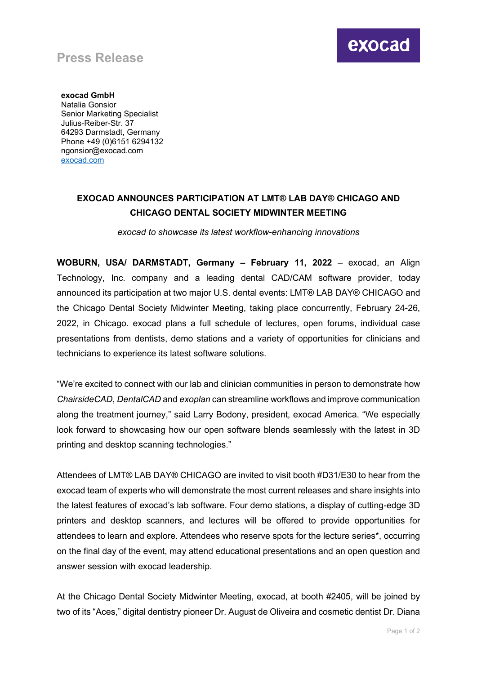## **Press Release**

**exocad GmbH** Natalia Gonsior Senior Marketing Specialist Julius-Reiber-Str. 37 64293 Darmstadt, Germany Phone +49 (0)6151 6294132 ngonsior@exocad.com [exocad.com](http://www.exocad.com/)

## **EXOCAD ANNOUNCES PARTICIPATION AT LMT® LAB DAY® CHICAGO AND CHICAGO DENTAL SOCIETY MIDWINTER MEETING**

*exocad to showcase its latest workflow-enhancing innovations*

**WOBURN, USA/ DARMSTADT, Germany – February 11, 2022** – exocad, an Align Technology, Inc. company and a leading dental CAD/CAM software provider, today announced its participation at two major U.S. dental events: LMT® LAB DAY® CHICAGO and the Chicago Dental Society Midwinter Meeting, taking place concurrently, February 24-26, 2022, in Chicago. exocad plans a full schedule of lectures, open forums, individual case presentations from dentists, demo stations and a variety of opportunities for clinicians and technicians to experience its latest software solutions.

"We're excited to connect with our lab and clinician communities in person to demonstrate how *ChairsideCAD*, *DentalCAD* and *exoplan* can streamline workflows and improve communication along the treatment journey," said Larry Bodony, president, exocad America. "We especially look forward to showcasing how our open software blends seamlessly with the latest in 3D printing and desktop scanning technologies."

Attendees of LMT® LAB DAY® CHICAGO are invited to visit booth #D31/E30 to hear from the exocad team of experts who will demonstrate the most current releases and share insights into the latest features of exocad's lab software. Four demo stations, a display of cutting-edge 3D printers and desktop scanners, and lectures will be offered to provide opportunities for attendees to learn and explore. Attendees who reserve spots for the lecture series\*, occurring on the final day of the event, may attend educational presentations and an open question and answer session with exocad leadership.

At the Chicago Dental Society Midwinter Meeting, exocad, at booth #2405, will be joined by two of its "Aces," digital dentistry pioneer Dr. August de Oliveira and cosmetic dentist Dr. Diana